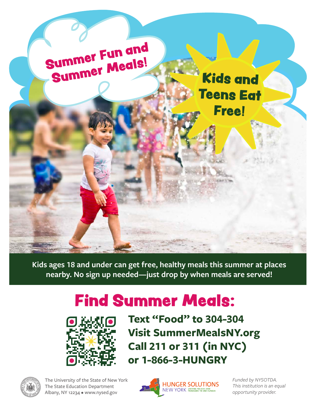

**Kids ages 18 and under can get free, healthy meals this summer at places nearby. No sign up needed—just drop by when meals are served!** 

## Find Summer Meals:



**Text "Food" to 304-304** **Visit SummerMealsNY.org Call 211 or 311 (in NYC) or 1-866-3-HUNGRY**



The University of the State of New York The State Education Department Albany, NY 12234 • www.nysed.gov



*Funded by NYSOTDA. This institution is an equal opportunity provider.*